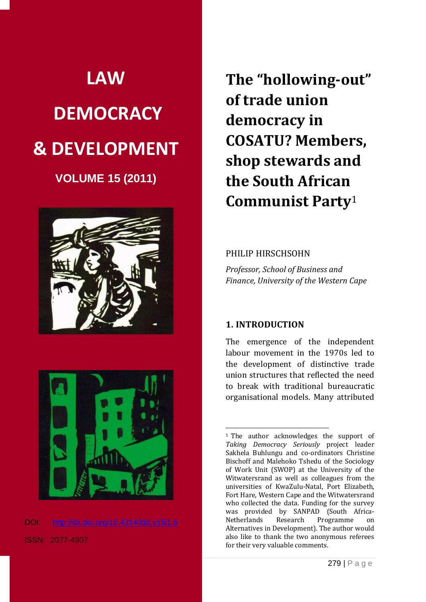



DOI: [http://dx.doi.org/10.4314/ldd.v15i1.6](http://dx.doi.org/10.4314/ldd.v15i1.7) ISSN: 2077-4907

**The "hollowing-out" of trade union democracy in COSATU? Members, shop stewards and the South African Communist Party**<sup>1</sup>

#### PHILIP HIRSCHSOHN

*Professor, School of Business and Finance, University of the Western Cape*

#### **1. INTRODUCTION**

1

The emergence of the independent labour movement in the 1970s led to the development of distinctive trade union structures that reflected the need to break with traditional bureaucratic organisational models. Many attributed

<sup>&</sup>lt;sup>1</sup> The author acknowledges the support of *Taking Democracy Seriously* project leader Sakhela Buhlungu and co-ordinators Christine Bischoff and Malehoko Tshedu of the Sociology of Work Unit (SWOP) at the University of the Witwatersrand as well as colleagues from the universities of KwaZulu-Natal, Port Elizabeth, Fort Hare, Western Cape and the Witwatersrand who collected the data. Funding for the survey was provided by SANPAD (South Africa-Netherlands Research Programme on Alternatives in Development). The author would also like to thank the two anonymous referees for their very valuable comments.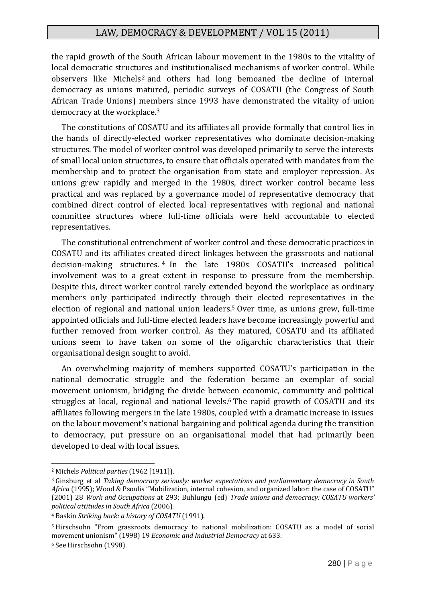the rapid growth of the South African labour movement in the 1980s to the vitality of local democratic structures and institutionalised mechanisms of worker control. While observers like Michels<sup>2</sup> and others had long bemoaned the decline of internal democracy as unions matured, periodic surveys of COSATU (the Congress of South African Trade Unions) members since 1993 have demonstrated the vitality of union democracy at the workplace. 3

The constitutions of COSATU and its affiliates all provide formally that control lies in the hands of directly-elected worker representatives who dominate decision-making structures. The model of worker control was developed primarily to serve the interests of small local union structures, to ensure that officials operated with mandates from the membership and to protect the organisation from state and employer repression. As unions grew rapidly and merged in the 1980s, direct worker control became less practical and was replaced by a governance model of representative democracy that combined direct control of elected local representatives with regional and national committee structures where full-time officials were held accountable to elected representatives.

The constitutional entrenchment of worker control and these democratic practices in COSATU and its affiliates created direct linkages between the grassroots and national decision-making structures. <sup>4</sup> In the late 1980s COSATU's increased political involvement was to a great extent in response to pressure from the membership. Despite this, direct worker control rarely extended beyond the workplace as ordinary members only participated indirectly through their elected representatives in the election of regional and national union leaders. <sup>5</sup> Over time, as unions grew, full-time appointed officials and full-time elected leaders have become increasingly powerful and further removed from worker control. As they matured, COSATU and its affiliated unions seem to have taken on some of the oligarchic characteristics that their organisational design sought to avoid.

An overwhelming majority of members supported COSATU's participation in the national democratic struggle and the federation became an exemplar of social movement unionism, bridging the divide between economic, community and political struggles at local, regional and national levels. <sup>6</sup> The rapid growth of COSATU and its affiliates following mergers in the late 1980s, coupled with a dramatic increase in issues on the labour movement's national bargaining and political agenda during the transition to democracy, put pressure on an organisational model that had primarily been developed to deal with local issues.

<sup>2</sup> Michels *Political parties* (1962 [1911]).

<sup>3</sup> Ginsburg et al *Taking democracy seriously: worker expectations and parliamentary democracy in South Africa* (1995); Wood & Psoulis "Mobilization, internal cohesion, and organized labor: the case of COSATU" (2001) 28 *Work and Occupations* at 293; Buhlungu (ed) *Trade unions and democracy: COSATU workers' political attitudes in South Africa* (2006).

<sup>4</sup> Baskin *Striking back: a history of COSATU* (1991).

<sup>5</sup> Hirschsohn "From grassroots democracy to national mobilization: COSATU as a model of social movement unionism" (1998) 19 *Economic and Industrial Democracy* at 633.

<sup>6</sup> See Hirschsohn (1998).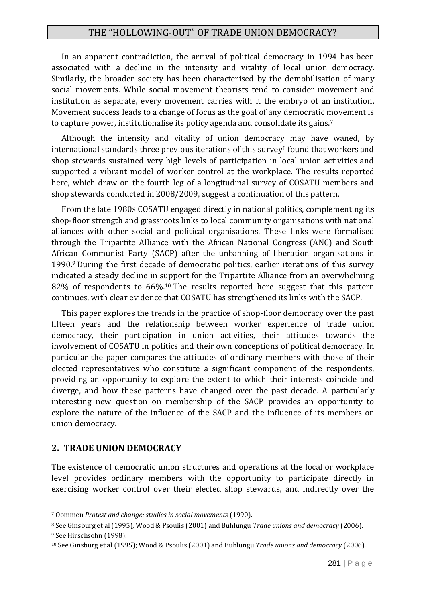In an apparent contradiction, the arrival of political democracy in 1994 has been associated with a decline in the intensity and vitality of local union democracy. Similarly, the broader society has been characterised by the demobilisation of many social movements. While social movement theorists tend to consider movement and institution as separate, every movement carries with it the embryo of an institution. Movement success leads to a change of focus as the goal of any democratic movement is to capture power, institutionalise its policy agenda and consolidate its gains.<sup>7</sup>

Although the intensity and vitality of union democracy may have waned, by international standards three previous iterations of this survey $8$  found that workers and shop stewards sustained very high levels of participation in local union activities and supported a vibrant model of worker control at the workplace. The results reported here, which draw on the fourth leg of a longitudinal survey of COSATU members and shop stewards conducted in 2008/2009, suggest a continuation of this pattern.

From the late 1980s COSATU engaged directly in national politics, complementing its shop-floor strength and grassroots links to local community organisations with national alliances with other social and political organisations. These links were formalised through the Tripartite Alliance with the African National Congress (ANC) and South African Communist Party (SACP) after the unbanning of liberation organisations in 1990.<sup>9</sup> During the first decade of democratic politics, earlier iterations of this survey indicated a steady decline in support for the Tripartite Alliance from an overwhelming 82% of respondents to 66%.<sup>10</sup> The results reported here suggest that this pattern continues, with clear evidence that COSATU has strengthened its links with the SACP.

This paper explores the trends in the practice of shop-floor democracy over the past fifteen years and the relationship between worker experience of trade union democracy, their participation in union activities, their attitudes towards the involvement of COSATU in politics and their own conceptions of political democracy. In particular the paper compares the attitudes of ordinary members with those of their elected representatives who constitute a significant component of the respondents, providing an opportunity to explore the extent to which their interests coincide and diverge, and how these patterns have changed over the past decade. A particularly interesting new question on membership of the SACP provides an opportunity to explore the nature of the influence of the SACP and the influence of its members on union democracy.

#### **2. TRADE UNION DEMOCRACY**

-

The existence of democratic union structures and operations at the local or workplace level provides ordinary members with the opportunity to participate directly in exercising worker control over their elected shop stewards, and indirectly over the

<sup>7</sup> Oommen *Protest and change: studies in social movements* (1990).

<sup>8</sup> See Ginsburg et al (1995), Wood & Psoulis (2001) and Buhlungu *Trade unions and democracy* (2006). <sup>9</sup> See Hirschsohn (1998).

<sup>10</sup> See Ginsburg et al (1995); Wood & Psoulis (2001) and Buhlungu *Trade unions and democracy* (2006).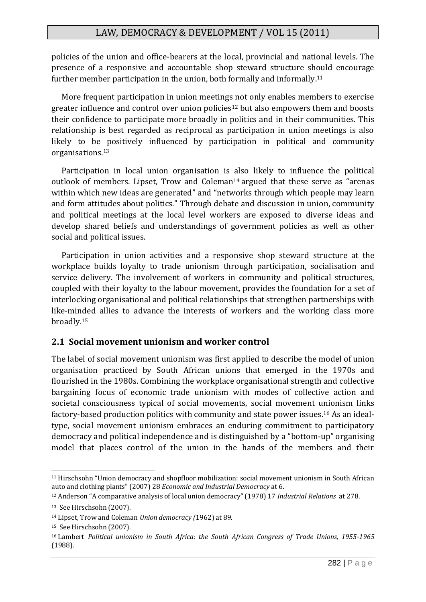policies of the union and office-bearers at the local, provincial and national levels. The presence of a responsive and accountable shop steward structure should encourage further member participation in the union, both formally and informally. 11

More frequent participation in union meetings not only enables members to exercise greater influence and control over union policies<sup>12</sup> but also empowers them and boosts their confidence to participate more broadly in politics and in their communities. This relationship is best regarded as reciprocal as participation in union meetings is also likely to be positively influenced by participation in political and community organisations. 13

Participation in local union organisation is also likely to influence the political outlook of members. Lipset, Trow and Coleman<sup>14</sup> argued that these serve as "arenas within which new ideas are generated" and "networks through which people may learn and form attitudes about politics." Through debate and discussion in union, community and political meetings at the local level workers are exposed to diverse ideas and develop shared beliefs and understandings of government policies as well as other social and political issues.

Participation in union activities and a responsive shop steward structure at the workplace builds loyalty to trade unionism through participation, socialisation and service delivery. The involvement of workers in community and political structures, coupled with their loyalty to the labour movement, provides the foundation for a set of interlocking organisational and political relationships that strengthen partnerships with like-minded allies to advance the interests of workers and the working class more broadly. 15

#### **2.1 Social movement unionism and worker control**

The label of social movement unionism was first applied to describe the model of union organisation practiced by South African unions that emerged in the 1970s and flourished in the 1980s. Combining the workplace organisational strength and collective bargaining focus of economic trade unionism with modes of collective action and societal consciousness typical of social movements, social movement unionism links factory-based production politics with community and state power issues.<sup>16</sup> As an idealtype, social movement unionism embraces an enduring commitment to participatory democracy and political independence and is distinguished by a "bottom-up" organising model that places control of the union in the hands of the members and their

<sup>11</sup> Hirschsohn "Union democracy and shopfloor mobilization: social movement unionism in South African auto and clothing plants" (2007) 28 *Economic and Industrial Democracy* at 6.

<sup>12</sup> Anderson "A comparative analysis of local union democracy" (1978) 17 *Industrial Relations* at 278.

<sup>13</sup> See Hirschsohn (2007).

<sup>14</sup> Lipset, Trow and Coleman *Union democracy (*1962) at 89.

<sup>15</sup> See Hirschsohn (2007).

<sup>16</sup> Lambert *Political unionism in South Africa: the South African Congress of Trade Unions, 1955-1965* (1988).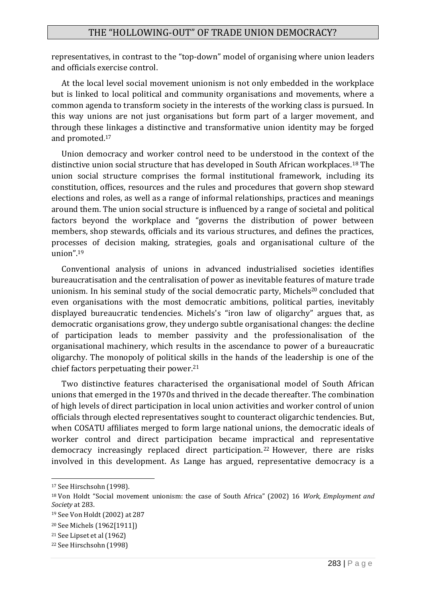representatives, in contrast to the "top-down" model of organising where union leaders and officials exercise control.

At the local level social movement unionism is not only embedded in the workplace but is linked to local political and community organisations and movements, where a common agenda to transform society in the interests of the working class is pursued. In this way unions are not just organisations but form part of a larger movement, and through these linkages a distinctive and transformative union identity may be forged and promoted. 17

Union democracy and worker control need to be understood in the context of the distinctive union social structure that has developed in South African workplaces. <sup>18</sup> The union social structure comprises the formal institutional framework, including its constitution, offices, resources and the rules and procedures that govern shop steward elections and roles, as well as a range of informal relationships, practices and meanings around them. The union social structure is influenced by a range of societal and political factors beyond the workplace and "governs the distribution of power between members, shop stewards, officials and its various structures, and defines the practices, processes of decision making, strategies, goals and organisational culture of the union". 19

Conventional analysis of unions in advanced industrialised societies identifies bureaucratisation and the centralisation of power as inevitable features of mature trade unionism. In his seminal study of the social democratic party, Michels<sup>20</sup> concluded that even organisations with the most democratic ambitions, political parties, inevitably displayed bureaucratic tendencies. Michels's "iron law of oligarchy" argues that, as democratic organisations grow, they undergo subtle organisational changes: the decline of participation leads to member passivity and the professionalisation of the organisational machinery, which results in the ascendance to power of a bureaucratic oligarchy. The monopoly of political skills in the hands of the leadership is one of the chief factors perpetuating their power. 21

Two distinctive features characterised the organisational model of South African unions that emerged in the 1970s and thrived in the decade thereafter. The combination of high levels of direct participation in local union activities and worker control of union officials through elected representatives sought to counteract oligarchic tendencies. But, when COSATU affiliates merged to form large national unions, the democratic ideals of worker control and direct participation became impractical and representative democracy increasingly replaced direct participation. <sup>22</sup> However, there are risks involved in this development. As Lange has argued, representative democracy is a

<sup>&</sup>lt;sup>17</sup> See Hirschsohn (1998).

<sup>18</sup> Von Holdt "Social movement unionism: the case of South Africa" (2002) 16 *Work, Employment and Society* at 283.

<sup>19</sup> See Von Holdt (2002) at 287

<sup>20</sup> See Michels (1962[1911])

<sup>21</sup> See Lipset et al (1962)

<sup>22</sup> See Hirschsohn (1998)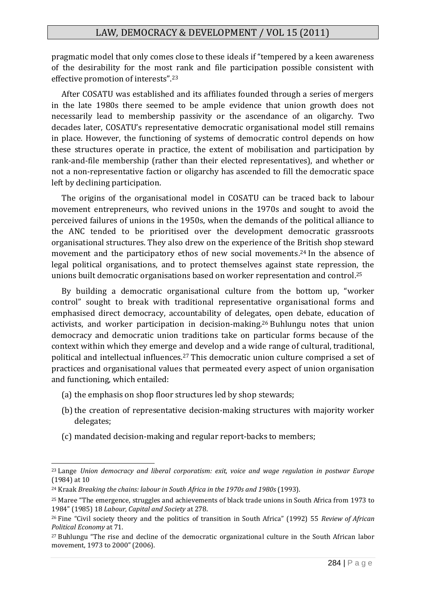pragmatic model that only comes close to these ideals if "tempered by a keen awareness of the desirability for the most rank and file participation possible consistent with effective promotion of interests". 23

After COSATU was established and its affiliates founded through a series of mergers in the late 1980s there seemed to be ample evidence that union growth does not necessarily lead to membership passivity or the ascendance of an oligarchy. Two decades later, COSATU's representative democratic organisational model still remains in place. However, the functioning of systems of democratic control depends on how these structures operate in practice, the extent of mobilisation and participation by rank-and-file membership (rather than their elected representatives), and whether or not a non-representative faction or oligarchy has ascended to fill the democratic space left by declining participation.

The origins of the organisational model in COSATU can be traced back to labour movement entrepreneurs, who revived unions in the 1970s and sought to avoid the perceived failures of unions in the 1950s, when the demands of the political alliance to the ANC tended to be prioritised over the development democratic grassroots organisational structures. They also drew on the experience of the British shop steward movement and the participatory ethos of new social movements. <sup>24</sup> In the absence of legal political organisations, and to protect themselves against state repression, the unions built democratic organisations based on worker representation and control. 25

By building a democratic organisational culture from the bottom up, "worker control" sought to break with traditional representative organisational forms and emphasised direct democracy, accountability of delegates, open debate, education of activists, and worker participation in decision-making. <sup>26</sup> Buhlungu notes that union democracy and democratic union traditions take on particular forms because of the context within which they emerge and develop and a wide range of cultural, traditional, political and intellectual influences.<sup>27</sup> This democratic union culture comprised a set of practices and organisational values that permeated every aspect of union organisation and functioning, which entailed:

- (a) the emphasis on shop floor structures led by shop stewards;
- (b) the creation of representative decision-making structures with majority worker delegates;
- (c) mandated decision-making and regular report-backs to members;

<sup>-</sup><sup>23</sup> Lange *Union democracy and liberal corporatism: exit, voice and wage regulation in postwar Europe* (1984) at 10

<sup>24</sup> Kraak *Breaking the chains: labour in South Africa in the 1970s and 1980s* (1993).

<sup>&</sup>lt;sup>25</sup> Maree "The emergence, struggles and achievements of black trade unions in South Africa from 1973 to 1984" (1985) 18 *Labour, Capital and Society* at 278.

<sup>26</sup> Fine "Civil society theory and the politics of transition in South Africa" (1992) 55 *Review of African Political Economy* at 71.

<sup>27</sup> Buhlungu "The rise and decline of the democratic organizational culture in the South African labor movement, 1973 to 2000" (2006).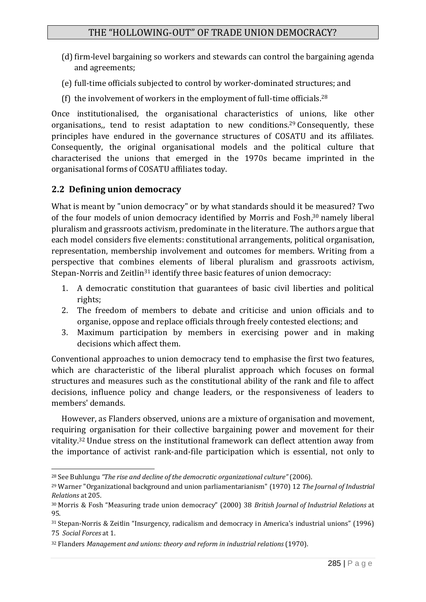- (d) firm-level bargaining so workers and stewards can control the bargaining agenda and agreements;
- (e) full-time officials subjected to control by worker-dominated structures; and
- (f) the involvement of workers in the employment of full-time officials. 28

Once institutionalised, the organisational characteristics of unions, like other organisations,, tend to resist adaptation to new conditions. <sup>29</sup> Consequently, these principles have endured in the governance structures of COSATU and its affiliates. Consequently, the original organisational models and the political culture that characterised the unions that emerged in the 1970s became imprinted in the organisational forms of COSATU affiliates today.

# **2.2 Defining union democracy**

What is meant by "union democracy" or by what standards should it be measured? Two of the four models of union democracy identified by Morris and Fosh, <sup>30</sup> namely liberal pluralism and grassroots activism, predominate in the literature. The authors argue that each model considers five elements: constitutional arrangements, political organisation, representation, membership involvement and outcomes for members. Writing from a perspective that combines elements of liberal pluralism and grassroots activism, Stepan-Norris and Zeitlin<sup>31</sup> identify three basic features of union democracy:

- 1. A democratic constitution that guarantees of basic civil liberties and political rights;
- 2. The freedom of members to debate and criticise and union officials and to organise, oppose and replace officials through freely contested elections; and
- 3. Maximum participation by members in exercising power and in making decisions which affect them.

Conventional approaches to union democracy tend to emphasise the first two features, which are characteristic of the liberal pluralist approach which focuses on formal structures and measures such as the constitutional ability of the rank and file to affect decisions, influence policy and change leaders, or the responsiveness of leaders to members' demands.

However, as Flanders observed, unions are a mixture of organisation and movement, requiring organisation for their collective bargaining power and movement for their vitality.<sup>32</sup> Undue stress on the institutional framework can deflect attention away from the importance of activist rank-and-file participation which is essential, not only to

<sup>-</sup><sup>28</sup> See Buhlungu *"The rise and decline of the democratic organizational culture"* (2006).

<sup>29</sup> Warner "Organizational background and union parliamentarianism" (1970) 12 *The Journal of Industrial Relations* at 205.

<sup>30</sup> Morris & Fosh "Measuring trade union democracy" (2000) 38 *British Journal of Industrial Relations* at 95.

<sup>31</sup> Stepan-Norris & Zeitlin "Insurgency, radicalism and democracy in America's industrial unions" (1996) 75 *Social Forces* at 1.

<sup>32</sup> Flanders *Management and unions: theory and reform in industrial relations* (1970).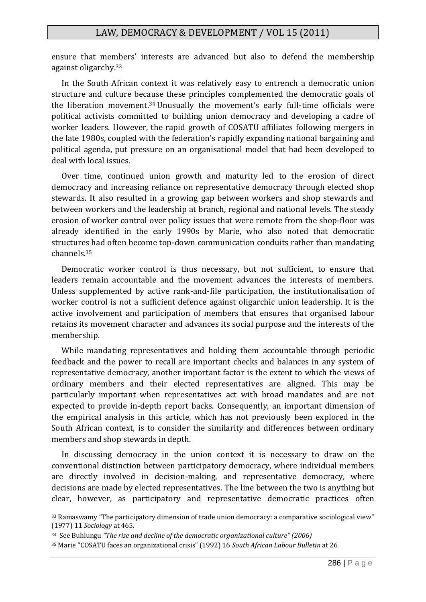ensure that members' interests are advanced but also to defend the membership against oligarchy. 33

In the South African context it was relatively easy to entrench a democratic union structure and culture because these principles complemented the democratic goals of the liberation movement. <sup>34</sup> Unusually the movement's early full-time officials were political activists committed to building union democracy and developing a cadre of worker leaders. However, the rapid growth of COSATU affiliates following mergers in the late 1980s, coupled with the federation's rapidly expanding national bargaining and political agenda, put pressure on an organisational model that had been developed to deal with local issues.

Over time, continued union growth and maturity led to the erosion of direct democracy and increasing reliance on representative democracy through elected shop stewards. It also resulted in a growing gap between workers and shop stewards and between workers and the leadership at branch, regional and national levels. The steady erosion of worker control over policy issues that were remote from the shop-floor was already identified in the early 1990s by Marie, who also noted that democratic structures had often become top-down communication conduits rather than mandating channels.<sup>35</sup>

Democratic worker control is thus necessary, but not sufficient, to ensure that leaders remain accountable and the movement advances the interests of members. Unless supplemented by active rank-and-file participation, the institutionalisation of worker control is not a sufficient defence against oligarchic union leadership. It is the active involvement and participation of members that ensures that organised labour retains its movement character and advances its social purpose and the interests of the membership.

While mandating representatives and holding them accountable through periodic feedback and the power to recall are important checks and balances in any system of representative democracy, another important factor is the extent to which the views of ordinary members and their elected representatives are aligned. This may be particularly important when representatives act with broad mandates and are not expected to provide in-depth report backs. Consequently, an important dimension of the empirical analysis in this article, which has not previously been explored in the South African context, is to consider the similarity and differences between ordinary members and shop stewards in depth.

In discussing democracy in the union context it is necessary to draw on the conventional distinction between participatory democracy, where individual members are directly involved in decision-making, and representative democracy, where decisions are made by elected representatives. The line between the two is anything but clear, however, as participatory and representative democratic practices often

<sup>33</sup> Ramaswamy "The participatory dimension of trade union democracy: a comparative sociological view" (1977) 11 *Sociology* at 465.

<sup>34</sup> See Buhlungu *"The rise and decline of the democratic organizational culture" (2006)*

<sup>35</sup> Marie "COSATU faces an organizational crisis" (1992) 16 *South African Labour Bulletin* at 26.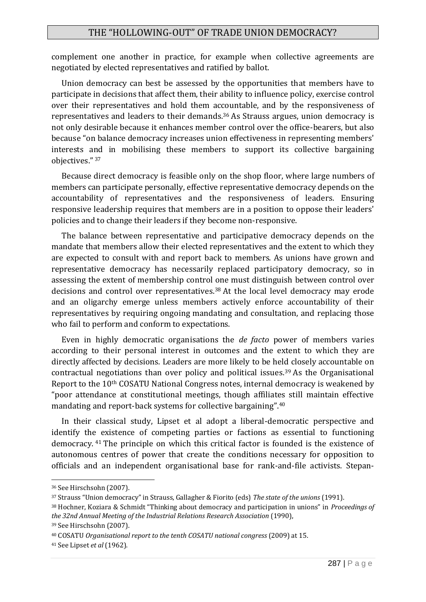complement one another in practice, for example when collective agreements are negotiated by elected representatives and ratified by ballot.

Union democracy can best be assessed by the opportunities that members have to participate in decisions that affect them, their ability to influence policy, exercise control over their representatives and hold them accountable, and by the responsiveness of representatives and leaders to their demands. <sup>36</sup> As Strauss argues, union democracy is not only desirable because it enhances member control over the office-bearers, but also because "on balance democracy increases union effectiveness in representing members' interests and in mobilising these members to support its collective bargaining objectives." 37

Because direct democracy is feasible only on the shop floor, where large numbers of members can participate personally, effective representative democracy depends on the accountability of representatives and the responsiveness of leaders. Ensuring responsive leadership requires that members are in a position to oppose their leaders' policies and to change their leaders if they become non-responsive.

The balance between representative and participative democracy depends on the mandate that members allow their elected representatives and the extent to which they are expected to consult with and report back to members. As unions have grown and representative democracy has necessarily replaced participatory democracy, so in assessing the extent of membership control one must distinguish between control over decisions and control over representatives. <sup>38</sup> At the local level democracy may erode and an oligarchy emerge unless members actively enforce accountability of their representatives by requiring ongoing mandating and consultation, and replacing those who fail to perform and conform to expectations.

Even in highly democratic organisations the *de facto* power of members varies according to their personal interest in outcomes and the extent to which they are directly affected by decisions. Leaders are more likely to be held closely accountable on contractual negotiations than over policy and political issues. <sup>39</sup> As the Organisational Report to the 10th COSATU National Congress notes, internal democracy is weakened by "poor attendance at constitutional meetings, though affiliates still maintain effective mandating and report-back systems for collective bargaining". 40

In their classical study, Lipset et al adopt a liberal-democratic perspective and identify the existence of competing parties or factions as essential to functioning democracy. <sup>41</sup> The principle on which this critical factor is founded is the existence of autonomous centres of power that create the conditions necessary for opposition to officials and an independent organisational base for rank-and-file activists. Stepan-

<sup>36</sup> See Hirschsohn (2007).

<sup>37</sup> Strauss "Union democracy" in Strauss, Gallagher & Fiorito (eds) *The state of the unions* (1991).

<sup>38</sup> Hochner, Koziara & Schmidt "Thinking about democracy and participation in unions" in *Proceedings of the 32nd Annual Meeting of the Industrial Relations Research Association* (1990),

<sup>39</sup> See Hirschsohn (2007).

<sup>40</sup> COSATU *Organisational report to the tenth COSATU national congress* (2009) at 15.

<sup>41</sup> See Lipset *et al* (1962).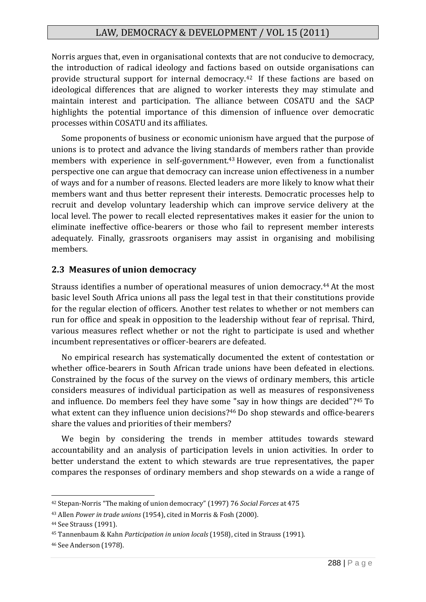Norris argues that, even in organisational contexts that are not conducive to democracy, the introduction of radical ideology and factions based on outside organisations can provide structural support for internal democracy.<sup>42</sup> If these factions are based on ideological differences that are aligned to worker interests they may stimulate and maintain interest and participation. The alliance between COSATU and the SACP highlights the potential importance of this dimension of influence over democratic processes within COSATU and its affiliates.

Some proponents of business or economic unionism have argued that the purpose of unions is to protect and advance the living standards of members rather than provide members with experience in self-government.<sup>43</sup> However, even from a functionalist perspective one can argue that democracy can increase union effectiveness in a number of ways and for a number of reasons. Elected leaders are more likely to know what their members want and thus better represent their interests. Democratic processes help to recruit and develop voluntary leadership which can improve service delivery at the local level. The power to recall elected representatives makes it easier for the union to eliminate ineffective office-bearers or those who fail to represent member interests adequately. Finally, grassroots organisers may assist in organising and mobilising members.

#### **2.3 Measures of union democracy**

Strauss identifies a number of operational measures of union democracy.<sup>44</sup> At the most basic level South Africa unions all pass the legal test in that their constitutions provide for the regular election of officers. Another test relates to whether or not members can run for office and speak in opposition to the leadership without fear of reprisal. Third, various measures reflect whether or not the right to participate is used and whether incumbent representatives or officer-bearers are defeated.

No empirical research has systematically documented the extent of contestation or whether office-bearers in South African trade unions have been defeated in elections. Constrained by the focus of the survey on the views of ordinary members, this article considers measures of individual participation as well as measures of responsiveness and influence. Do members feel they have some "say in how things are decided"? <sup>45</sup> To what extent can they influence union decisions?<sup>46</sup> Do shop stewards and office-bearers share the values and priorities of their members?

We begin by considering the trends in member attitudes towards steward accountability and an analysis of participation levels in union activities. In order to better understand the extent to which stewards are true representatives, the paper compares the responses of ordinary members and shop stewards on a wide a range of

<sup>42</sup> Stepan-Norris "The making of union democracy" (1997) 76 *Social Forces* at 475

<sup>43</sup> Allen *Power in trade unions* (1954), cited in Morris & Fosh (2000).

<sup>44</sup> See Strauss (1991).

<sup>45</sup> Tannenbaum & Kahn *Participation in union locals* (1958), cited in Strauss (1991).

<sup>46</sup> See Anderson (1978).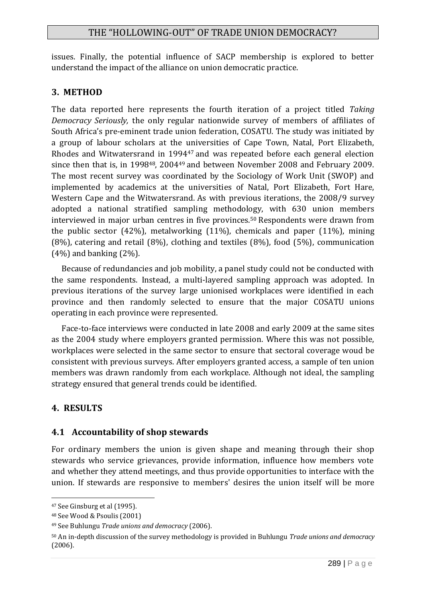issues. Finally, the potential influence of SACP membership is explored to better understand the impact of the alliance on union democratic practice.

## **3. METHOD**

The data reported here represents the fourth iteration of a project titled *Taking Democracy Seriously,* the only regular nationwide survey of members of affiliates of South Africa's pre-eminent trade union federation, COSATU. The study was initiated by a group of labour scholars at the universities of Cape Town, Natal, Port Elizabeth, Rhodes and Witwatersrand in 1994<sup>47</sup> and was repeated before each general election since then that is, in 1998<sup>48</sup>, 2004<sup>49</sup> and between November 2008 and February 2009. The most recent survey was coordinated by the Sociology of Work Unit (SWOP) and implemented by academics at the universities of Natal, Port Elizabeth, Fort Hare, Western Cape and the Witwatersrand. As with previous iterations, the 2008/9 survey adopted a national stratified sampling methodology, with 630 union members interviewed in major urban centres in five provinces. <sup>50</sup> Respondents were drawn from the public sector (42%), metalworking (11%), chemicals and paper (11%), mining (8%), catering and retail (8%), clothing and textiles (8%), food (5%), communication (4%) and banking (2%).

Because of redundancies and job mobility, a panel study could not be conducted with the same respondents. Instead, a multi-layered sampling approach was adopted. In previous iterations of the survey large unionised workplaces were identified in each province and then randomly selected to ensure that the major COSATU unions operating in each province were represented.

Face-to-face interviews were conducted in late 2008 and early 2009 at the same sites as the 2004 study where employers granted permission. Where this was not possible, workplaces were selected in the same sector to ensure that sectoral coverage woud be consistent with previous surveys. After employers granted access, a sample of ten union members was drawn randomly from each workplace. Although not ideal, the sampling strategy ensured that general trends could be identified.

## **4. RESULTS**

-

#### **4.1 Accountability of shop stewards**

For ordinary members the union is given shape and meaning through their shop stewards who service grievances, provide information, influence how members vote and whether they attend meetings, and thus provide opportunities to interface with the union. If stewards are responsive to members' desires the union itself will be more

<sup>47</sup> See Ginsburg et al (1995).

<sup>48</sup> See Wood & Psoulis (2001)

<sup>49</sup> See Buhlungu *Trade unions and democracy* (2006).

<sup>50</sup> An in-depth discussion of the survey methodology is provided in Buhlungu *Trade unions and democracy*  (2006).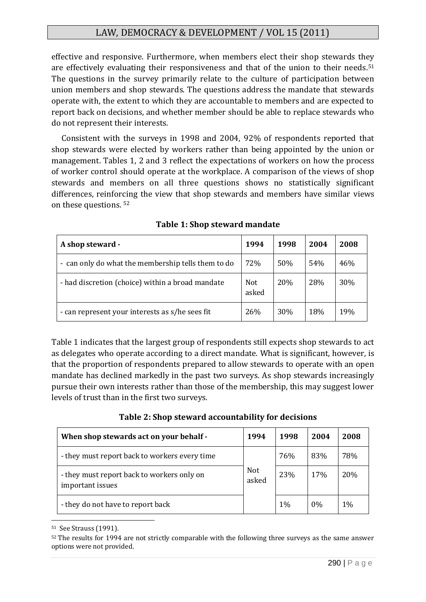effective and responsive. Furthermore, when members elect their shop stewards they are effectively evaluating their responsiveness and that of the union to their needs. 51 The questions in the survey primarily relate to the culture of participation between union members and shop stewards. The questions address the mandate that stewards operate with, the extent to which they are accountable to members and are expected to report back on decisions, and whether member should be able to replace stewards who do not represent their interests.

Consistent with the surveys in 1998 and 2004, 92% of respondents reported that shop stewards were elected by workers rather than being appointed by the union or management. Tables 1, 2 and 3 reflect the expectations of workers on how the process of worker control should operate at the workplace. A comparison of the views of shop stewards and members on all three questions shows no statistically significant differences, reinforcing the view that shop stewards and members have similar views on these questions. <sup>52</sup>

| A shop steward -                                                   | 1994                | 1998 | 2004 | 2008 |
|--------------------------------------------------------------------|---------------------|------|------|------|
| can only do what the membership tells them to do<br>$\blacksquare$ | 72%                 | 50%  | 54%  | 46%  |
| - had discretion (choice) within a broad mandate                   | <b>Not</b><br>asked | 20%  | 28%  | 30%  |
| - can represent your interests as s/he sees fit                    | 26%                 | 30%  | 18%  | 19%  |

**Table 1: Shop steward mandate**

Table 1 indicates that the largest group of respondents still expects shop stewards to act as delegates who operate according to a direct mandate. What is significant, however, is that the proportion of respondents prepared to allow stewards to operate with an open mandate has declined markedly in the past two surveys. As shop stewards increasingly pursue their own interests rather than those of the membership, this may suggest lower levels of trust than in the first two surveys.

**Table 2: Shop steward accountability for decisions**

| When shop stewards act on your behalf -                                               |  | 1998 | 2004 | 2008 |
|---------------------------------------------------------------------------------------|--|------|------|------|
| - they must report back to workers every time                                         |  | 76%  | 83%  | 78%  |
| <b>Not</b><br>- they must report back to workers only on<br>asked<br>important issues |  | 23%  | 17%  | 20%  |
| - they do not have to report back                                                     |  | 1%   | 0%   | 1%   |

<sup>51</sup> See Strauss (1991).

<sup>52</sup> The results for 1994 are not strictly comparable with the following three surveys as the same answer options were not provided.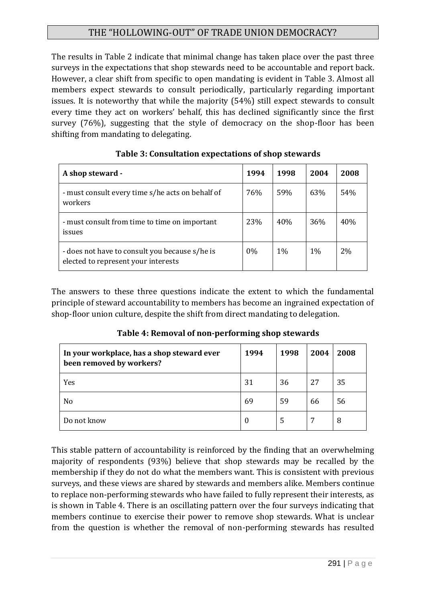The results in Table 2 indicate that minimal change has taken place over the past three surveys in the expectations that shop stewards need to be accountable and report back. However, a clear shift from specific to open mandating is evident in Table 3. Almost all members expect stewards to consult periodically, particularly regarding important issues. It is noteworthy that while the majority (54%) still expect stewards to consult every time they act on workers' behalf, this has declined significantly since the first survey (76%), suggesting that the style of democracy on the shop-floor has been shifting from mandating to delegating.

| A shop steward -                                                                      | 1994  | 1998 | 2004  | 2008  |
|---------------------------------------------------------------------------------------|-------|------|-------|-------|
| - must consult every time s/he acts on behalf of<br>workers                           | 76%   | 59%  | 63%   | 54%   |
| - must consult from time to time on important<br>issues                               |       | 40%  | 36%   | 40\%  |
| - does not have to consult you because s/he is<br>elected to represent your interests | $0\%$ | 1%   | $1\%$ | $2\%$ |

**Table 3: Consultation expectations of shop stewards**

The answers to these three questions indicate the extent to which the fundamental principle of steward accountability to members has become an ingrained expectation of shop-floor union culture, despite the shift from direct mandating to delegation.

**Table 4: Removal of non-performing shop stewards**

| In your workplace, has a shop steward ever<br>been removed by workers? | 1994 | 1998 | 2004 | 2008 |
|------------------------------------------------------------------------|------|------|------|------|
| Yes                                                                    | 31   | 36   | 27   | 35   |
| No                                                                     | 69   | 59   | 66   | 56   |
| Do not know                                                            | 0    | 5    |      | 8    |

This stable pattern of accountability is reinforced by the finding that an overwhelming majority of respondents (93%) believe that shop stewards may be recalled by the membership if they do not do what the members want. This is consistent with previous surveys, and these views are shared by stewards and members alike. Members continue to replace non-performing stewards who have failed to fully represent their interests, as is shown in Table 4. There is an oscillating pattern over the four surveys indicating that members continue to exercise their power to remove shop stewards. What is unclear from the question is whether the removal of non-performing stewards has resulted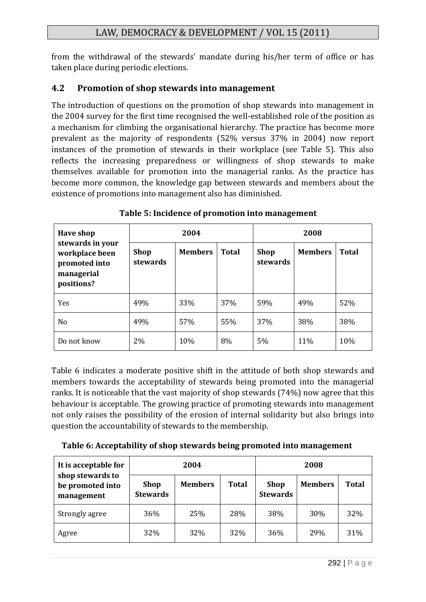from the withdrawal of the stewards' mandate during his/her term of office or has taken place during periodic elections.

#### **4.2 Promotion of shop stewards into management**

The introduction of questions on the promotion of shop stewards into management in the 2004 survey for the first time recognised the well-established role of the position as a mechanism for climbing the organisational hierarchy. The practice has become more prevalent as the majority of respondents (52% versus 37% in 2004) now report instances of the promotion of stewards in their workplace (see Table 5). This also reflects the increasing preparedness or willingness of shop stewards to make themselves available for promotion into the managerial ranks. As the practice has become more common, the knowledge gap between stewards and members about the existence of promotions into management also has diminished.

| Have shop                                                                       |                                           | 2004 |              | 2008                    |                |              |  |
|---------------------------------------------------------------------------------|-------------------------------------------|------|--------------|-------------------------|----------------|--------------|--|
| stewards in your<br>workplace been<br>promoted into<br>managerial<br>positions? | <b>Members</b><br><b>Shop</b><br>stewards |      | <b>Total</b> | <b>Shop</b><br>stewards | <b>Members</b> | <b>Total</b> |  |
| Yes                                                                             | 49%                                       | 33%  | 37%          | 59%                     | 49%            | 52%          |  |
| N <sub>o</sub>                                                                  | 49%                                       | 57%  | 55%          | 37%                     | 38%            | 38%          |  |
| Do not know                                                                     | 2%                                        | 10%  | 8%           | 5%                      | 11%            | 10%          |  |

**Table 5: Incidence of promotion into management**

Table 6 indicates a moderate positive shift in the attitude of both shop stewards and members towards the acceptability of stewards being promoted into the managerial ranks. It is noticeable that the vast majority of shop stewards (74%) now agree that this behaviour is acceptable. The growing practice of promoting stewards into management not only raises the possibility of the erosion of internal solidarity but also brings into question the accountability of stewards to the membership.

| It is acceptable for<br>2004                       |                                |                | 2008         |                                |                |              |
|----------------------------------------------------|--------------------------------|----------------|--------------|--------------------------------|----------------|--------------|
| shop stewards to<br>be promoted into<br>management | <b>Shop</b><br><b>Stewards</b> | <b>Members</b> | <b>Total</b> | <b>Shop</b><br><b>Stewards</b> | <b>Members</b> | <b>Total</b> |
| Strongly agree                                     | 36%                            | 25%            | 28%          | 38%                            | 30%            | 32%          |
| Agree                                              | 32%                            | 32%            | 32%          | 36%                            | 29%            | 31%          |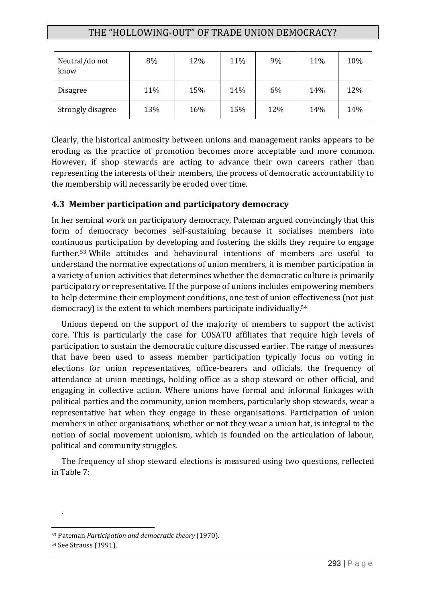| Neutral/do not<br>know | 8%  | 12% | 11% | 9%  | 11% | 10% |
|------------------------|-----|-----|-----|-----|-----|-----|
| <b>Disagree</b>        | 11% | 15% | 14% | 6%  | 14% | 12% |
| Strongly disagree      | 13% | 16% | 15% | 12% | 14% | 14% |

Clearly, the historical animosity between unions and management ranks appears to be eroding as the practice of promotion becomes more acceptable and more common. However, if shop stewards are acting to advance their own careers rather than representing the interests of their members, the process of democratic accountability to the membership will necessarily be eroded over time.

# **4.3 Member participation and participatory democracy**

In her seminal work on participatory democracy, Pateman argued convincingly that this form of democracy becomes self-sustaining because it socialises members into continuous participation by developing and fostering the skills they require to engage further.<sup>53</sup> While attitudes and behavioural intentions of members are useful to understand the normative expectations of union members, it is member participation in a variety of union activities that determines whether the democratic culture is primarily participatory or representative. If the purpose of unions includes empowering members to help determine their employment conditions, one test of union effectiveness (not just democracy) is the extent to which members participate individually. 54

Unions depend on the support of the majority of members to support the activist core. This is particularly the case for COSATU affiliates that require high levels of participation to sustain the democratic culture discussed earlier. The range of measures that have been used to assess member participation typically focus on voting in elections for union representatives, office-bearers and officials, the frequency of attendance at union meetings, holding office as a shop steward or other official, and engaging in collective action. Where unions have formal and informal linkages with political parties and the community, union members, particularly shop stewards, wear a representative hat when they engage in these organisations. Participation of union members in other organisations, whether or not they wear a union hat, is integral to the notion of social movement unionism, which is founded on the articulation of labour, political and community struggles.

The frequency of shop steward elections is measured using two questions, reflected in Table 7:

<sup>53</sup> Pateman *Participation and democratic theory* (1970).

.

<sup>54</sup> See Strauss (1991).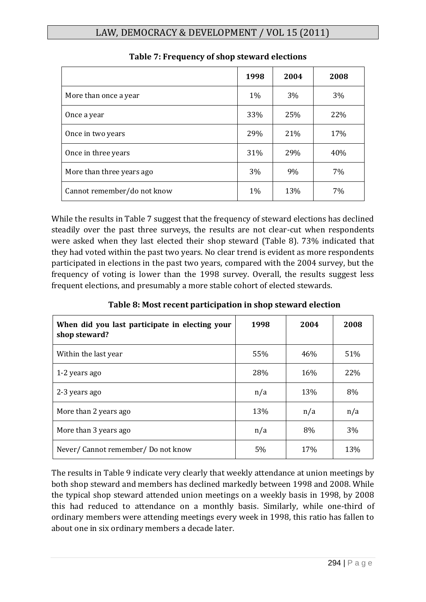|                             | 1998  | 2004  | 2008 |
|-----------------------------|-------|-------|------|
| More than once a year       | $1\%$ | $3\%$ | 3%   |
| Once a year                 | 33%   | 25%   | 22%  |
| Once in two years           | 29%   | 21%   | 17%  |
| Once in three years         | 31%   | 29%   | 40%  |
| More than three years ago   | 3%    | 9%    | 7%   |
| Cannot remember/do not know | $1\%$ | 13%   | 7%   |

#### **Table 7: Frequency of shop steward elections**

While the results in Table 7 suggest that the frequency of steward elections has declined steadily over the past three surveys, the results are not clear-cut when respondents were asked when they last elected their shop steward (Table 8). 73% indicated that they had voted within the past two years. No clear trend is evident as more respondents participated in elections in the past two years, compared with the 2004 survey, but the frequency of voting is lower than the 1998 survey. Overall, the results suggest less frequent elections, and presumably a more stable cohort of elected stewards.

| Table 8: Most recent participation in shop steward election |  |  |  |  |  |
|-------------------------------------------------------------|--|--|--|--|--|
|                                                             |  |  |  |  |  |

| When did you last participate in electing your<br>shop steward? | 1998 | 2004 | 2008 |
|-----------------------------------------------------------------|------|------|------|
| Within the last year                                            | 55%  | 46%  | 51%  |
| 1-2 years ago                                                   | 28%  | 16%  | 22%  |
| 2-3 years ago                                                   | n/a  | 13%  | 8%   |
| More than 2 years ago                                           | 13%  | n/a  | n/a  |
| More than 3 years ago                                           | n/a  | 8%   | 3%   |
| Never/Cannot remember/Do not know                               | 5%   | 17%  | 13%  |

The results in Table 9 indicate very clearly that weekly attendance at union meetings by both shop steward and members has declined markedly between 1998 and 2008. While the typical shop steward attended union meetings on a weekly basis in 1998, by 2008 this had reduced to attendance on a monthly basis. Similarly, while one-third of ordinary members were attending meetings every week in 1998, this ratio has fallen to about one in six ordinary members a decade later.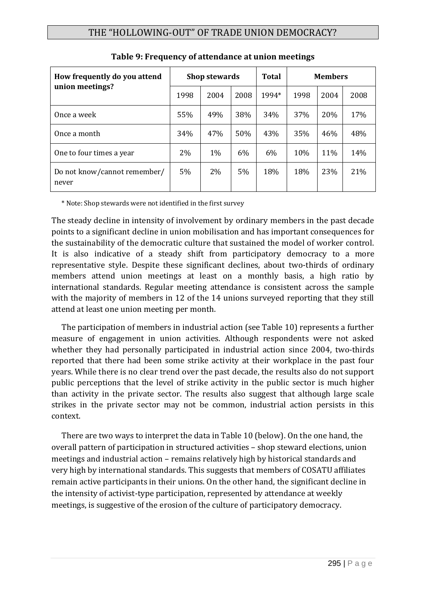| How frequently do you attend<br>union meetings? |       | <b>Shop stewards</b> |      |       | <b>Members</b> |      |      |
|-------------------------------------------------|-------|----------------------|------|-------|----------------|------|------|
|                                                 | 1998  | 2004                 | 2008 | 1994* | 1998           | 2004 | 2008 |
| Once a week                                     | 55%   | 49%                  | 38%  | 34%   | 37%            | 20%  | 17%  |
| Once a month                                    | 34%   | 47%                  | 50%  | 43%   | 35%            | 46%  | 48%  |
| One to four times a year                        | $2\%$ | 1%                   | 6%   | 6%    | 10%            | 11%  | 14%  |
| Do not know/cannot remember/<br>never           | 5%    | 2%                   | 5%   | 18%   | 18%            | 23%  | 21%  |

**Table 9: Frequency of attendance at union meetings**

\* Note: Shop stewards were not identified in the first survey

The steady decline in intensity of involvement by ordinary members in the past decade points to a significant decline in union mobilisation and has important consequences for the sustainability of the democratic culture that sustained the model of worker control. It is also indicative of a steady shift from participatory democracy to a more representative style. Despite these significant declines, about two-thirds of ordinary members attend union meetings at least on a monthly basis, a high ratio by international standards. Regular meeting attendance is consistent across the sample with the majority of members in 12 of the 14 unions surveyed reporting that they still attend at least one union meeting per month.

The participation of members in industrial action (see Table 10) represents a further measure of engagement in union activities. Although respondents were not asked whether they had personally participated in industrial action since 2004, two-thirds reported that there had been some strike activity at their workplace in the past four years. While there is no clear trend over the past decade, the results also do not support public perceptions that the level of strike activity in the public sector is much higher than activity in the private sector. The results also suggest that although large scale strikes in the private sector may not be common, industrial action persists in this context.

There are two ways to interpret the data in Table 10 (below). On the one hand, the overall pattern of participation in structured activities – shop steward elections, union meetings and industrial action – remains relatively high by historical standards and very high by international standards. This suggests that members of COSATU affiliates remain active participants in their unions. On the other hand, the significant decline in the intensity of activist-type participation, represented by attendance at weekly meetings, is suggestive of the erosion of the culture of participatory democracy.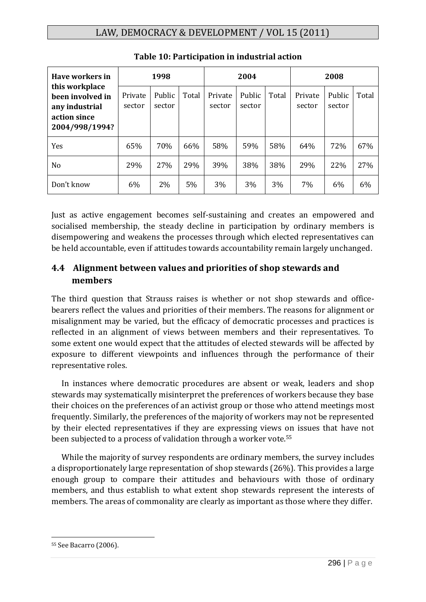| Have workers in                                                                        | 1998              |                  |       | 2004              |                  |       | 2008              |                  |       |
|----------------------------------------------------------------------------------------|-------------------|------------------|-------|-------------------|------------------|-------|-------------------|------------------|-------|
| this workplace<br>been involved in<br>any industrial<br>action since<br>2004/998/1994? | Private<br>sector | Public<br>sector | Total | Private<br>sector | Public<br>sector | Total | Private<br>sector | Public<br>sector | Total |
| Yes                                                                                    | 65%               | 70%              | 66%   | 58%               | 59%              | 58%   | 64%               | 72%              | 67%   |
| N <sub>o</sub>                                                                         | 29%               | 27%              | 29%   | 39%               | 38%              | 38%   | 29%               | 22%              | 27%   |
| Don't know                                                                             | 6%                | 2%               | 5%    | 3%                | 3%               | 3%    | 7%                | 6%               | 6%    |

**Table 10: Participation in industrial action**

Just as active engagement becomes self-sustaining and creates an empowered and socialised membership, the steady decline in participation by ordinary members is disempowering and weakens the processes through which elected representatives can be held accountable, even if attitudes towards accountability remain largely unchanged.

## **4.4 Alignment between values and priorities of shop stewards and members**

The third question that Strauss raises is whether or not shop stewards and officebearers reflect the values and priorities of their members. The reasons for alignment or misalignment may be varied, but the efficacy of democratic processes and practices is reflected in an alignment of views between members and their representatives. To some extent one would expect that the attitudes of elected stewards will be affected by exposure to different viewpoints and influences through the performance of their representative roles.

In instances where democratic procedures are absent or weak, leaders and shop stewards may systematically misinterpret the preferences of workers because they base their choices on the preferences of an activist group or those who attend meetings most frequently. Similarly, the preferences of the majority of workers may not be represented by their elected representatives if they are expressing views on issues that have not been subjected to a process of validation through a worker vote.<sup>55</sup>

While the majority of survey respondents are ordinary members, the survey includes a disproportionately large representation of shop stewards (26%). This provides a large enough group to compare their attitudes and behaviours with those of ordinary members, and thus establish to what extent shop stewards represent the interests of members. The areas of commonality are clearly as important as those where they differ.

<sup>55</sup> See Bacarro (2006).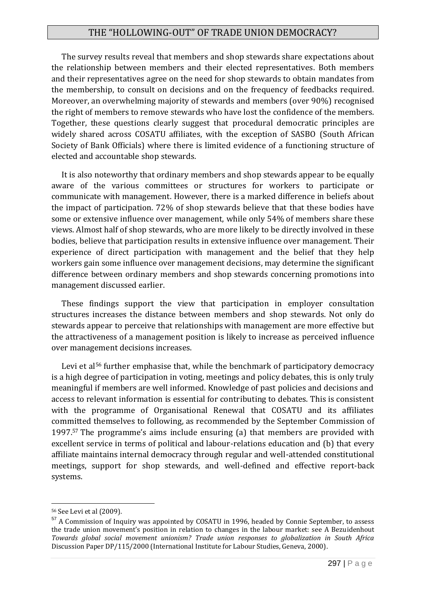The survey results reveal that members and shop stewards share expectations about the relationship between members and their elected representatives. Both members and their representatives agree on the need for shop stewards to obtain mandates from the membership, to consult on decisions and on the frequency of feedbacks required. Moreover, an overwhelming majority of stewards and members (over 90%) recognised the right of members to remove stewards who have lost the confidence of the members. Together, these questions clearly suggest that procedural democratic principles are widely shared across COSATU affiliates, with the exception of SASBO (South African Society of Bank Officials) where there is limited evidence of a functioning structure of elected and accountable shop stewards.

It is also noteworthy that ordinary members and shop stewards appear to be equally aware of the various committees or structures for workers to participate or communicate with management. However, there is a marked difference in beliefs about the impact of participation. 72% of shop stewards believe that that these bodies have some or extensive influence over management, while only 54% of members share these views. Almost half of shop stewards, who are more likely to be directly involved in these bodies, believe that participation results in extensive influence over management. Their experience of direct participation with management and the belief that they help workers gain some influence over management decisions, may determine the significant difference between ordinary members and shop stewards concerning promotions into management discussed earlier.

These findings support the view that participation in employer consultation structures increases the distance between members and shop stewards. Not only do stewards appear to perceive that relationships with management are more effective but the attractiveness of a management position is likely to increase as perceived influence over management decisions increases.

Levi et al<sup>56</sup> further emphasise that, while the benchmark of participatory democracy is a high degree of participation in voting, meetings and policy debates, this is only truly meaningful if members are well informed. Knowledge of past policies and decisions and access to relevant information is essential for contributing to debates. This is consistent with the programme of Organisational Renewal that COSATU and its affiliates committed themselves to following, as recommended by the September Commission of 1997.<sup>57</sup> The programme's aims include ensuring (a) that members are provided with excellent service in terms of political and labour-relations education and (b) that every affiliate maintains internal democracy through regular and well-attended constitutional meetings, support for shop stewards, and well-defined and effective report-back systems.

<sup>56</sup> See Levi et al (2009).

<sup>&</sup>lt;sup>57</sup> A Commission of Inquiry was appointed by COSATU in 1996, headed by Connie September, to assess the trade union movement's position in relation to changes in the labour market: see A Bezuidenhout *Towards global social movement unionism? Trade union responses to globalization in South Africa*  Discussion Paper DP/115/2000 (International Institute for Labour Studies, Geneva, 2000).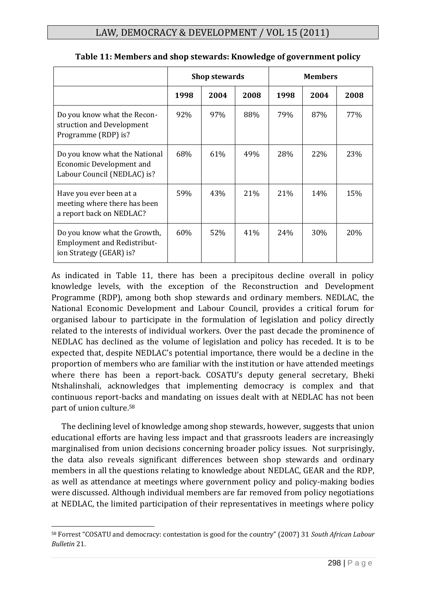|                                                                                               | <b>Shop stewards</b> |      |      | <b>Members</b> |      |      |
|-----------------------------------------------------------------------------------------------|----------------------|------|------|----------------|------|------|
|                                                                                               | 1998                 | 2004 | 2008 | 1998           | 2004 | 2008 |
| Do you know what the Recon-<br>struction and Development<br>Programme (RDP) is?               | 92%                  | 97%  | 88%  | 79%            | 87%  | 77%  |
| Do you know what the National<br>Economic Development and<br>Labour Council (NEDLAC) is?      | 68%                  | 61%  | 49%  | 28%            | 22\% | 23%  |
| Have you ever been at a<br>meeting where there has been<br>a report back on NEDLAC?           | 59%                  | 43%  | 21%  | 21%            | 14%  | 15%  |
| Do you know what the Growth,<br><b>Employment and Redistribut-</b><br>ion Strategy (GEAR) is? | 60%                  | 52%  | 41\% | 24%            | 30%  | 20%  |

#### **Table 11: Members and shop stewards: Knowledge of government policy**

As indicated in Table 11, there has been a precipitous decline overall in policy knowledge levels, with the exception of the Reconstruction and Development Programme (RDP), among both shop stewards and ordinary members. NEDLAC, the National Economic Development and Labour Council, provides a critical forum for organised labour to participate in the formulation of legislation and policy directly related to the interests of individual workers. Over the past decade the prominence of NEDLAC has declined as the volume of legislation and policy has receded. It is to be expected that, despite NEDLAC's potential importance, there would be a decline in the proportion of members who are familiar with the institution or have attended meetings where there has been a report-back. COSATU's deputy general secretary, Bheki Ntshalinshali, acknowledges that implementing democracy is complex and that continuous report-backs and mandating on issues dealt with at NEDLAC has not been part of union culture.<sup>58</sup>

The declining level of knowledge among shop stewards, however, suggests that union educational efforts are having less impact and that grassroots leaders are increasingly marginalised from union decisions concerning broader policy issues. Not surprisingly, the data also reveals significant differences between shop stewards and ordinary members in all the questions relating to knowledge about NEDLAC, GEAR and the RDP, as well as attendance at meetings where government policy and policy-making bodies were discussed. Although individual members are far removed from policy negotiations at NEDLAC, the limited participation of their representatives in meetings where policy

<sup>58</sup> Forrest "COSATU and democracy: contestation is good for the country" (2007) 31 *South African Labour Bulletin* 21.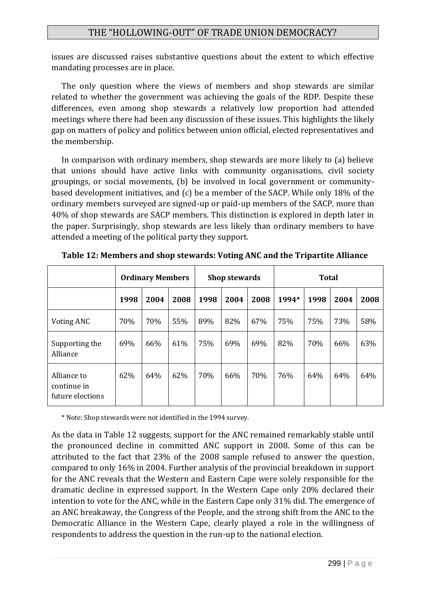issues are discussed raises substantive questions about the extent to which effective mandating processes are in place.

The only question where the views of members and shop stewards are similar related to whether the government was achieving the goals of the RDP. Despite these differences, even among shop stewards a relatively low proportion had attended meetings where there had been any discussion of these issues. This highlights the likely gap on matters of policy and politics between union official, elected representatives and the membership.

In comparison with ordinary members, shop stewards are more likely to (a) believe that unions should have active links with community organisations, civil society groupings, or social movements, (b) be involved in local government or communitybased development initiatives, and (c) be a member of the SACP. While only 18% of the ordinary members surveyed are signed-up or paid-up members of the SACP, more than 40% of shop stewards are SACP members. This distinction is explored in depth later in the paper. Surprisingly, shop stewards are less likely than ordinary members to have attended a meeting of the political party they support.

|                                                | <b>Ordinary Members</b> |      |      | <b>Shop stewards</b> |      |      | <b>Total</b> |      |      |      |
|------------------------------------------------|-------------------------|------|------|----------------------|------|------|--------------|------|------|------|
|                                                | 1998                    | 2004 | 2008 | 1998                 | 2004 | 2008 | 1994*        | 1998 | 2004 | 2008 |
| <b>Voting ANC</b>                              | 70%                     | 70%  | 55%  | 89%                  | 82%  | 67%  | 75%          | 75%  | 73%  | 58%  |
| Supporting the<br>Alliance                     | 69%                     | 66%  | 61%  | 75%                  | 69%  | 69%  | 82%          | 70%  | 66%  | 63%  |
| Alliance to<br>continue in<br>future elections | 62%                     | 64%  | 62%  | 70%                  | 66%  | 70%  | 76%          | 64%  | 64%  | 64%  |

**Table 12: Members and shop stewards: Voting ANC and the Tripartite Alliance**

\* Note: Shop stewards were not identified in the 1994 survey.

As the data in Table 12 suggests, support for the ANC remained remarkably stable until the pronounced decline in committed ANC support in 2008. Some of this can be attributed to the fact that 23% of the 2008 sample refused to answer the question, compared to only 16% in 2004. Further analysis of the provincial breakdown in support for the ANC reveals that the Western and Eastern Cape were solely responsible for the dramatic decline in expressed support. In the Western Cape only 20% declared their intention to vote for the ANC, while in the Eastern Cape only 31% did. The emergence of an ANC breakaway, the Congress of the People, and the strong shift from the ANC to the Democratic Alliance in the Western Cape, clearly played a role in the willingness of respondents to address the question in the run-up to the national election.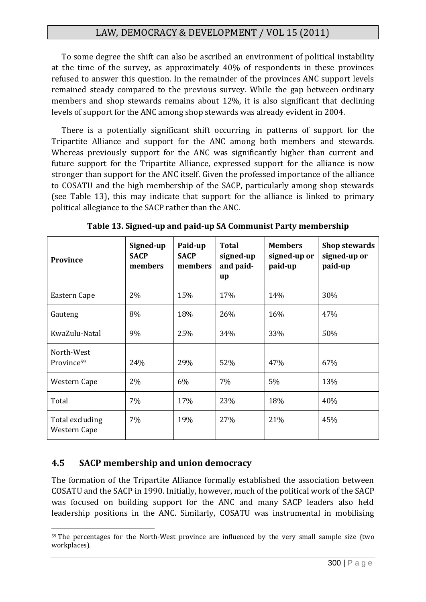To some degree the shift can also be ascribed an environment of political instability at the time of the survey, as approximately 40% of respondents in these provinces refused to answer this question. In the remainder of the provinces ANC support levels remained steady compared to the previous survey. While the gap between ordinary members and shop stewards remains about 12%, it is also significant that declining levels of support for the ANC among shop stewards was already evident in 2004.

There is a potentially significant shift occurring in patterns of support for the Tripartite Alliance and support for the ANC among both members and stewards. Whereas previously support for the ANC was significantly higher than current and future support for the Tripartite Alliance, expressed support for the alliance is now stronger than support for the ANC itself. Given the professed importance of the alliance to COSATU and the high membership of the SACP, particularly among shop stewards (see Table 13), this may indicate that support for the alliance is linked to primary political allegiance to the SACP rather than the ANC.

| <b>Province</b>                      | Signed-up<br><b>SACP</b><br>members | Paid-up<br><b>SACP</b><br>members | <b>Total</b><br>signed-up<br>and paid-<br>up | <b>Members</b><br>signed-up or<br>paid-up | <b>Shop stewards</b><br>signed-up or<br>paid-up |
|--------------------------------------|-------------------------------------|-----------------------------------|----------------------------------------------|-------------------------------------------|-------------------------------------------------|
| Eastern Cape                         | 2%                                  | 15%                               | 17%                                          | 14%                                       | 30%                                             |
| Gauteng                              | 8%                                  | 18%                               | 26%                                          | 16%                                       | 47%                                             |
| KwaZulu-Natal                        | 9%                                  | 25%                               | 34%                                          | 33%                                       | 50%                                             |
| North-West<br>Province <sup>59</sup> | 24%                                 | 29%                               | 52%                                          | 47%                                       | 67%                                             |
| Western Cape                         | $2\%$                               | 6%                                | 7%                                           | 5%                                        | 13%                                             |
| Total                                | 7%                                  | 17%                               | 23%                                          | 18%                                       | 40%                                             |
| Total excluding<br>Western Cape      | $7\%$                               | 19%                               | 27%                                          | 21%                                       | 45%                                             |

**Table 13. Signed-up and paid-up SA Communist Party membership** 

## **4.5 SACP membership and union democracy**

-

The formation of the Tripartite Alliance formally established the association between COSATU and the SACP in 1990. Initially, however, much of the political work of the SACP was focused on building support for the ANC and many SACP leaders also held leadership positions in the ANC. Similarly, COSATU was instrumental in mobilising

<sup>&</sup>lt;sup>59</sup> The percentages for the North-West province are influenced by the very small sample size (two workplaces).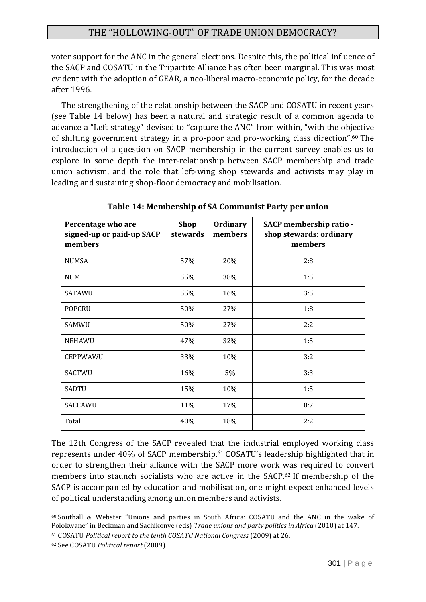voter support for the ANC in the general elections. Despite this, the political influence of the SACP and COSATU in the Tripartite Alliance has often been marginal. This was most evident with the adoption of GEAR, a neo-liberal macro-economic policy, for the decade after 1996.

The strengthening of the relationship between the SACP and COSATU in recent years (see Table 14 below) has been a natural and strategic result of a common agenda to advance a "Left strategy" devised to "capture the ANC" from within, "with the objective of shifting government strategy in a pro-poor and pro-working class direction". <sup>60</sup> The introduction of a question on SACP membership in the current survey enables us to explore in some depth the inter-relationship between SACP membership and trade union activism, and the role that left-wing shop stewards and activists may play in leading and sustaining shop-floor democracy and mobilisation.

| Percentage who are<br>signed-up or paid-up SACP<br>members | <b>Shop</b><br>stewards | <b>Ordinary</b><br>members | SACP membership ratio -<br>shop stewards: ordinary<br>members |
|------------------------------------------------------------|-------------------------|----------------------------|---------------------------------------------------------------|
| <b>NUMSA</b>                                               | 57%                     | 20%                        | 2:8                                                           |
| <b>NUM</b>                                                 | 55%                     | 38%                        | 1:5                                                           |
| SATAWU                                                     | 55%                     | 16%                        | 3:5                                                           |
| <b>POPCRU</b>                                              | 50%                     | 27%                        | 1:8                                                           |
| SAMWU                                                      | 50%                     | 27%                        | 2:2                                                           |
| <b>NEHAWU</b>                                              | 47%                     | 32%                        | 1:5                                                           |
| <b>CEPPWAWU</b>                                            | 33%                     | 10%                        | 3:2                                                           |
| <b>SACTWU</b>                                              | 16%                     | 5%                         | 3:3                                                           |
| SADTU                                                      | 15%                     | 10%                        | 1:5                                                           |
| SACCAWU                                                    | 11%                     | 17%                        | 0:7                                                           |
| Total                                                      | 40%                     | 18%                        | 2:2                                                           |

**Table 14: Membership of SA Communist Party per union**

The 12th Congress of the SACP revealed that the industrial employed working class represents under 40% of SACP membership. <sup>61</sup> COSATU's leadership highlighted that in order to strengthen their alliance with the SACP more work was required to convert members into staunch socialists who are active in the SACP.<sup>62</sup> If membership of the SACP is accompanied by education and mobilisation, one might expect enhanced levels of political understanding among union members and activists.

<sup>60</sup> Southall & Webster "Unions and parties in South Africa: COSATU and the ANC in the wake of Polokwane" in Beckman and Sachikonye (eds) *Trade unions and party politics in Africa* (2010) at 147. <sup>61</sup> COSATU *Political report to the tenth COSATU National Congress* (2009) at 26.

<sup>62</sup> See COSATU *Political report* (2009).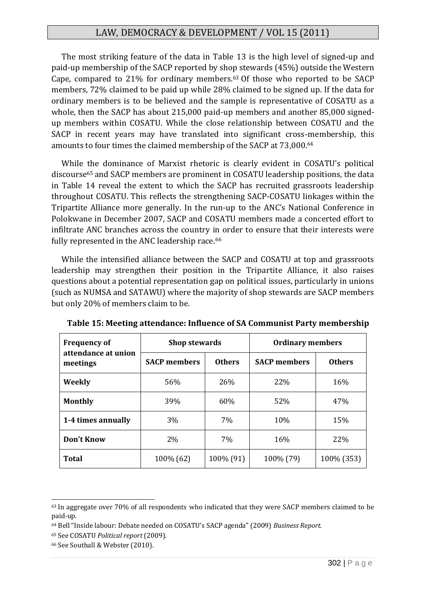The most striking feature of the data in Table 13 is the high level of signed-up and paid-up membership of the SACP reported by shop stewards (45%) outside the Western Cape, compared to 21% for ordinary members. <sup>63</sup> Of those who reported to be SACP members, 72% claimed to be paid up while 28% claimed to be signed up. If the data for ordinary members is to be believed and the sample is representative of COSATU as a whole, then the SACP has about 215,000 paid-up members and another 85,000 signedup members within COSATU. While the close relationship between COSATU and the SACP in recent years may have translated into significant cross-membership, this amounts to four times the claimed membership of the SACP at 73,000. 64

While the dominance of Marxist rhetoric is clearly evident in COSATU's political discourse<sup>65</sup> and SACP members are prominent in COSATU leadership positions, the data in Table 14 reveal the extent to which the SACP has recruited grassroots leadership throughout COSATU. This reflects the strengthening SACP-COSATU linkages within the Tripartite Alliance more generally. In the run-up to the ANC's National Conference in Polokwane in December 2007, SACP and COSATU members made a concerted effort to infiltrate ANC branches across the country in order to ensure that their interests were fully represented in the ANC leadership race.<sup>66</sup>

While the intensified alliance between the SACP and COSATU at top and grassroots leadership may strengthen their position in the Tripartite Alliance, it also raises questions about a potential representation gap on political issues, particularly in unions (such as NUMSA and SATAWU) where the majority of shop stewards are SACP members but only 20% of members claim to be.

| <b>Frequency of</b>             | <b>Shop stewards</b> |               | <b>Ordinary members</b> |               |  |  |
|---------------------------------|----------------------|---------------|-------------------------|---------------|--|--|
| attendance at union<br>meetings | <b>SACP</b> members  | <b>Others</b> | <b>SACP</b> members     | <b>Others</b> |  |  |
| Weekly                          | 56%                  | 26%           | 22%                     | 16%           |  |  |
| <b>Monthly</b>                  | 39%                  | 60%           | 52%                     | 47%           |  |  |
| 1-4 times annually              | 3%                   | 7%            | 10%                     | 15%           |  |  |
| Don't Know                      | $2\%$                | 7%            | 16%                     | 22%           |  |  |
| <b>Total</b>                    | 100% (62)            | 100% (91)     | 100% (79)               | 100% (353)    |  |  |

**Table 15: Meeting attendance: Influence of SA Communist Party membership**

<sup>63</sup> In aggregate over 70% of all respondents who indicated that they were SACP members claimed to be paid-up.

<sup>64</sup> Bell "Inside labour: Debate needed on COSATU's SACP agenda" (2009) *Business Report.*

<sup>65</sup> See COSATU *Political report* (2009).

<sup>66</sup> See Southall & Webster (2010).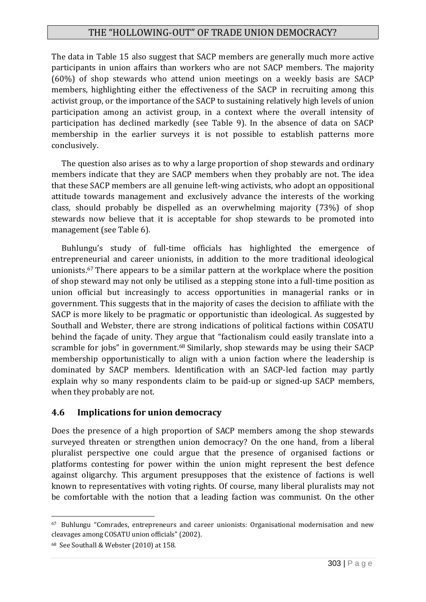The data in Table 15 also suggest that SACP members are generally much more active participants in union affairs than workers who are not SACP members. The majority (60%) of shop stewards who attend union meetings on a weekly basis are SACP members, highlighting either the effectiveness of the SACP in recruiting among this activist group, or the importance of the SACP to sustaining relatively high levels of union participation among an activist group, in a context where the overall intensity of participation has declined markedly (see Table 9). In the absence of data on SACP membership in the earlier surveys it is not possible to establish patterns more conclusively.

The question also arises as to why a large proportion of shop stewards and ordinary members indicate that they are SACP members when they probably are not. The idea that these SACP members are all genuine left-wing activists, who adopt an oppositional attitude towards management and exclusively advance the interests of the working class, should probably be dispelled as an overwhelming majority (73%) of shop stewards now believe that it is acceptable for shop stewards to be promoted into management (see Table 6).

Buhlungu's study of full-time officials has highlighted the emergence of entrepreneurial and career unionists, in addition to the more traditional ideological unionists. <sup>67</sup> There appears to be a similar pattern at the workplace where the position of shop steward may not only be utilised as a stepping stone into a full-time position as union official but increasingly to access opportunities in managerial ranks or in government. This suggests that in the majority of cases the decision to affiliate with the SACP is more likely to be pragmatic or opportunistic than ideological. As suggested by Southall and Webster, there are strong indications of political factions within COSATU behind the façade of unity. They argue that "factionalism could easily translate into a scramble for jobs" in government.<sup>68</sup> Similarly, shop stewards may be using their SACP membership opportunistically to align with a union faction where the leadership is dominated by SACP members. Identification with an SACP-led faction may partly explain why so many respondents claim to be paid-up or signed-up SACP members, when they probably are not.

#### **4.6 Implications for union democracy**

Does the presence of a high proportion of SACP members among the shop stewards surveyed threaten or strengthen union democracy? On the one hand, from a liberal pluralist perspective one could argue that the presence of organised factions or platforms contesting for power within the union might represent the best defence against oligarchy. This argument presupposes that the existence of factions is well known to representatives with voting rights. Of course, many liberal pluralists may not be comfortable with the notion that a leading faction was communist. On the other

<sup>67</sup> Buhlungu "Comrades, entrepreneurs and career unionists: Organisational modernisation and new cleavages among COSATU union officials" (2002).

<sup>68</sup> See Southall & Webster (2010) at 158.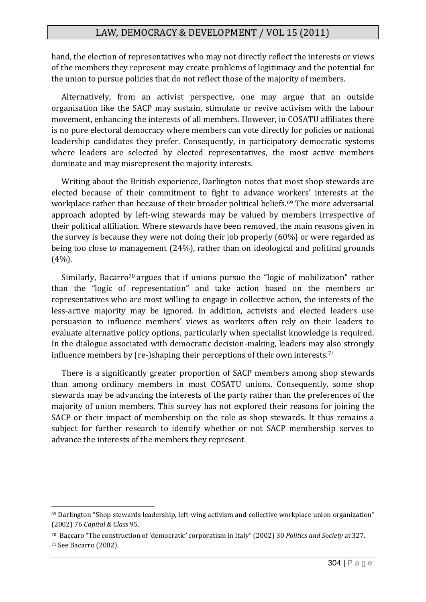hand, the election of representatives who may not directly reflect the interests or views of the members they represent may create problems of legitimacy and the potential for the union to pursue policies that do not reflect those of the majority of members.

Alternatively, from an activist perspective, one may argue that an outside organisation like the SACP may sustain, stimulate or revive activism with the labour movement, enhancing the interests of all members. However, in COSATU affiliates there is no pure electoral democracy where members can vote directly for policies or national leadership candidates they prefer. Consequently, in participatory democratic systems where leaders are selected by elected representatives, the most active members dominate and may misrepresent the majority interests.

Writing about the British experience, Darlington notes that most shop stewards are elected because of their commitment to fight to advance workers' interests at the workplace rather than because of their broader political beliefs.<sup>69</sup> The more adversarial approach adopted by left-wing stewards may be valued by members irrespective of their political affiliation. Where stewards have been removed, the main reasons given in the survey is because they were not doing their job properly (60%) or were regarded as being too close to management (24%), rather than on ideological and political grounds (4%).

Similarly, Bacarro<sup>70</sup> argues that if unions pursue the "logic of mobilization" rather than the "logic of representation" and take action based on the members or representatives who are most willing to engage in collective action, the interests of the less-active majority may be ignored. In addition, activists and elected leaders use persuasion to influence members' views as workers often rely on their leaders to evaluate alternative policy options, particularly when specialist knowledge is required. In the dialogue associated with democratic decision-making, leaders may also strongly influence members by (re-)shaping their perceptions of their own interests.<sup>71</sup>

There is a significantly greater proportion of SACP members among shop stewards than among ordinary members in most COSATU unions. Consequently, some shop stewards may be advancing the interests of the party rather than the preferences of the majority of union members. This survey has not explored their reasons for joining the SACP or their impact of membership on the role as shop stewards. It thus remains a subject for further research to identify whether or not SACP membership serves to advance the interests of the members they represent.

<sup>69</sup> Darlington "Shop stewards leadership, left-wing activism and collective workplace union organization" (2002) 76 *Capital & Class* 95.

<sup>70</sup> Baccaro "The construction of 'democratic' corporatism in Italy" (2002) 30 *Politics and Society* at 327. <sup>71</sup> See Bacarro (2002).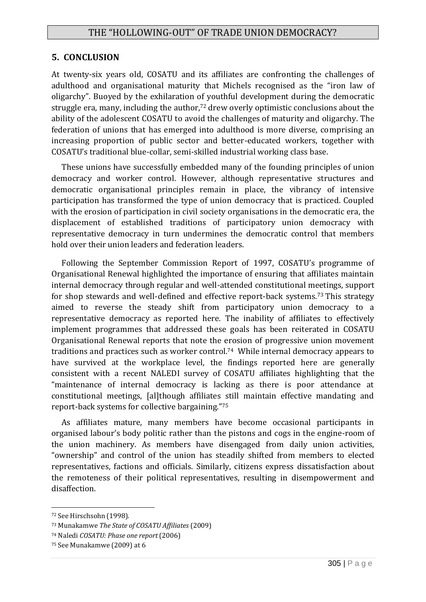#### **5. CONCLUSION**

At twenty-six years old, COSATU and its affiliates are confronting the challenges of adulthood and organisational maturity that Michels recognised as the "iron law of oligarchy". Buoyed by the exhilaration of youthful development during the democratic struggle era, many, including the author, <sup>72</sup> drew overly optimistic conclusions about the ability of the adolescent COSATU to avoid the challenges of maturity and oligarchy. The federation of unions that has emerged into adulthood is more diverse, comprising an increasing proportion of public sector and better-educated workers, together with COSATU's traditional blue-collar, semi-skilled industrial working class base.

These unions have successfully embedded many of the founding principles of union democracy and worker control. However, although representative structures and democratic organisational principles remain in place, the vibrancy of intensive participation has transformed the type of union democracy that is practiced. Coupled with the erosion of participation in civil society organisations in the democratic era, the displacement of established traditions of participatory union democracy with representative democracy in turn undermines the democratic control that members hold over their union leaders and federation leaders.

Following the September Commission Report of 1997, COSATU's programme of Organisational Renewal highlighted the importance of ensuring that affiliates maintain internal democracy through regular and well-attended constitutional meetings, support for shop stewards and well-defined and effective report-back systems.<sup>73</sup> This strategy aimed to reverse the steady shift from participatory union democracy to a representative democracy as reported here. The inability of affiliates to effectively implement programmes that addressed these goals has been reiterated in COSATU Organisational Renewal reports that note the erosion of progressive union movement traditions and practices such as worker control. <sup>74</sup> While internal democracy appears to have survived at the workplace level, the findings reported here are generally consistent with a recent NALEDI survey of COSATU affiliates highlighting that the "maintenance of internal democracy is lacking as there is poor attendance at constitutional meetings, [al]though affiliates still maintain effective mandating and report-back systems for collective bargaining."<sup>75</sup>

As affiliates mature, many members have become occasional participants in organised labour's body politic rather than the pistons and cogs in the engine-room of the union machinery. As members have disengaged from daily union activities, "ownership" and control of the union has steadily shifted from members to elected representatives, factions and officials. Similarly, citizens express dissatisfaction about the remoteness of their political representatives, resulting in disempowerment and disaffection.

<sup>72</sup> See Hirschsohn (1998)*.*

<sup>73</sup> Munakamwe *The State of COSATU Affiliates* (2009)

<sup>74</sup> Naledi *COSATU: Phase one report* (2006)

<sup>75</sup> See Munakamwe (2009) at 6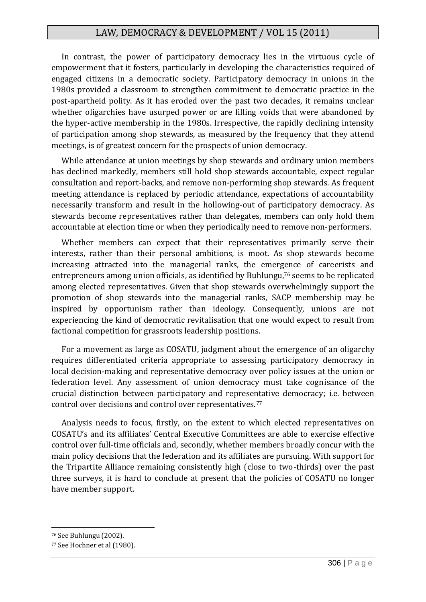In contrast, the power of participatory democracy lies in the virtuous cycle of empowerment that it fosters, particularly in developing the characteristics required of engaged citizens in a democratic society. Participatory democracy in unions in the 1980s provided a classroom to strengthen commitment to democratic practice in the post-apartheid polity. As it has eroded over the past two decades, it remains unclear whether oligarchies have usurped power or are filling voids that were abandoned by the hyper-active membership in the 1980s. Irrespective, the rapidly declining intensity of participation among shop stewards, as measured by the frequency that they attend meetings, is of greatest concern for the prospects of union democracy.

While attendance at union meetings by shop stewards and ordinary union members has declined markedly, members still hold shop stewards accountable, expect regular consultation and report-backs, and remove non-performing shop stewards. As frequent meeting attendance is replaced by periodic attendance, expectations of accountability necessarily transform and result in the hollowing-out of participatory democracy. As stewards become representatives rather than delegates, members can only hold them accountable at election time or when they periodically need to remove non-performers.

Whether members can expect that their representatives primarily serve their interests, rather than their personal ambitions, is moot. As shop stewards become increasing attracted into the managerial ranks, the emergence of careerists and entrepreneurs among union officials, as identified by Buhlungu,<sup>76</sup> seems to be replicated among elected representatives. Given that shop stewards overwhelmingly support the promotion of shop stewards into the managerial ranks, SACP membership may be inspired by opportunism rather than ideology. Consequently, unions are not experiencing the kind of democratic revitalisation that one would expect to result from factional competition for grassroots leadership positions.

For a movement as large as COSATU, judgment about the emergence of an oligarchy requires differentiated criteria appropriate to assessing participatory democracy in local decision-making and representative democracy over policy issues at the union or federation level. Any assessment of union democracy must take cognisance of the crucial distinction between participatory and representative democracy; i.e. between control over decisions and control over representatives.<sup>77</sup>

Analysis needs to focus, firstly, on the extent to which elected representatives on COSATU's and its affiliates' Central Executive Committees are able to exercise effective control over full-time officials and, secondly, whether members broadly concur with the main policy decisions that the federation and its affiliates are pursuing. With support for the Tripartite Alliance remaining consistently high (close to two-thirds) over the past three surveys, it is hard to conclude at present that the policies of COSATU no longer have member support.

<sup>76</sup> See Buhlungu (2002).

<sup>77</sup> See Hochner et al (1980).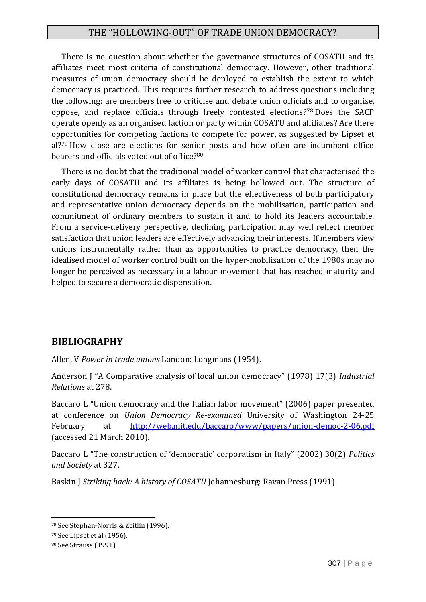There is no question about whether the governance structures of COSATU and its affiliates meet most criteria of constitutional democracy. However, other traditional measures of union democracy should be deployed to establish the extent to which democracy is practiced. This requires further research to address questions including the following: are members free to criticise and debate union officials and to organise, oppose, and replace officials through freely contested elections? <sup>78</sup> Does the SACP operate openly as an organised faction or party within COSATU and affiliates? Are there opportunities for competing factions to compete for power, as suggested by Lipset et al?<sup>79</sup> How close are elections for senior posts and how often are incumbent office bearers and officials voted out of office?<sup>80</sup>

There is no doubt that the traditional model of worker control that characterised the early days of COSATU and its affiliates is being hollowed out. The structure of constitutional democracy remains in place but the effectiveness of both participatory and representative union democracy depends on the mobilisation, participation and commitment of ordinary members to sustain it and to hold its leaders accountable. From a service-delivery perspective, declining participation may well reflect member satisfaction that union leaders are effectively advancing their interests. If members view unions instrumentally rather than as opportunities to practice democracy, then the idealised model of worker control built on the hyper-mobilisation of the 1980s may no longer be perceived as necessary in a labour movement that has reached maturity and helped to secure a democratic dispensation.

# **BIBLIOGRAPHY**

Allen, V *Power in trade unions* London: Longmans (1954).

Anderson J "A Comparative analysis of local union democracy" (1978) 17(3) *Industrial Relations* at 278.

Baccaro L "Union democracy and the Italian labor movement" (2006) paper presented at conference on *Union Democracy Re-examined* University of Washington 24-25 February at <http://web.mit.edu/baccaro/www/papers/union-democ-2-06.pdf> (accessed 21 March 2010).

Baccaro L "The construction of 'democratic' corporatism in Italy" (2002) 30(2) *Politics and Society* at 327.

Baskin J *Striking back: A history of COSATU* Johannesburg: Ravan Press (1991).

<sup>78</sup> See Stephan-Norris & Zeitlin (1996).

<sup>79</sup> See Lipset et al (1956).

<sup>80</sup> See Strauss (1991).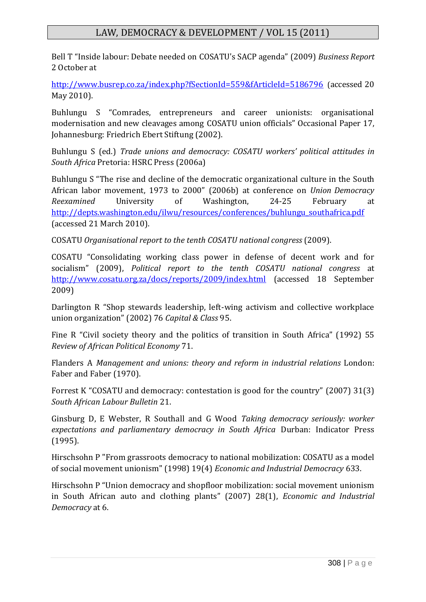Bell T "Inside labour: Debate needed on COSATU's SACP agenda" (2009) *Business Report* 2 October at

<http://www.busrep.co.za/index.php?fSectionId=559&fArticleId=5186796> (accessed 20 May 2010).

Buhlungu S "Comrades, entrepreneurs and career unionists: organisational modernisation and new cleavages among COSATU union officials" Occasional Paper 17, Johannesburg: Friedrich Ebert Stiftung (2002).

Buhlungu S (ed.) *Trade unions and democracy: COSATU workers' political attitudes in South Africa* Pretoria: HSRC Press (2006a)

Buhlungu S "The rise and decline of the democratic organizational culture in the South African labor movement, 1973 to 2000" (2006b) at conference on *Union Democracy Reexamined* University of Washington, 24-25 February at [http://depts.washington.edu/ilwu/resources/conferences/buhlungu\\_southafrica.pdf](http://depts.washington.edu/ilwu/resources/conferences/buhlungu_southafrica.pdf) (accessed 21 March 2010).

COSATU *Organisational report to the tenth COSATU national congress* (2009).

COSATU "Consolidating working class power in defense of decent work and for socialism" (2009), *Political report to the tenth COSATU national congress* at <http://www.cosatu.org.za/docs/reports/2009/index.html> (accessed 18 September 2009)

Darlington R "Shop stewards leadership, left-wing activism and collective workplace union organization" (2002) 76 *Capital & Class* 95.

Fine R "Civil society theory and the politics of transition in South Africa" (1992) 55 *Review of African Political Economy* 71.

Flanders A *Management and unions: theory and reform in industrial relations* London: Faber and Faber (1970).

Forrest K "COSATU and democracy: contestation is good for the country" (2007) 31(3) *South African Labour Bulletin* 21.

Ginsburg D, E Webster, R Southall and G Wood *Taking democracy seriously: worker expectations and parliamentary democracy in South Africa* Durban: Indicator Press (1995).

Hirschsohn P "From grassroots democracy to national mobilization: COSATU as a model of social movement unionism" (1998) 19(4) *Economic and Industrial Democracy* 633.

Hirschsohn P "Union democracy and shopfloor mobilization: social movement unionism in South African auto and clothing plants" (2007) 28(1), *Economic and Industrial Democracy* at 6.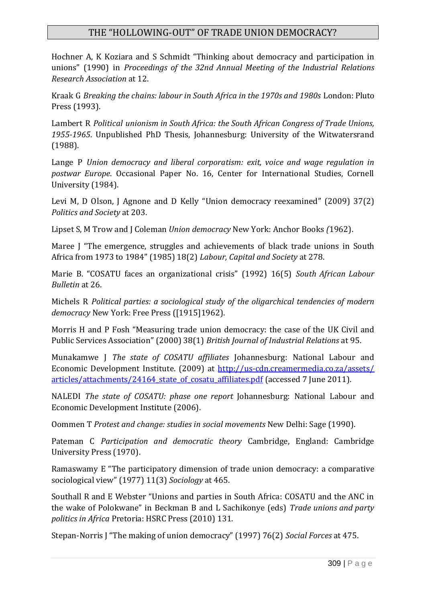Hochner A, K Koziara and S Schmidt "Thinking about democracy and participation in unions" (1990) in *Proceedings of the 32nd Annual Meeting of the Industrial Relations Research Association* at 12.

Kraak G *Breaking the chains: labour in South Africa in the 1970s and 1980s* London: Pluto Press (1993).

Lambert R *Political unionism in South Africa: the South African Congress of Trade Unions, 1955-1965*. Unpublished PhD Thesis, Johannesburg: University of the Witwatersrand (1988).

Lange P *Union democracy and liberal corporatism: exit, voice and wage regulation in postwar Europe*. Occasional Paper No. 16, Center for International Studies, Cornell University (1984).

Levi M, D Olson, J Agnone and D Kelly "Union democracy reexamined" (2009) 37(2) *Politics and Society* at 203.

Lipset S, M Trow and J Coleman *Union democracy* New York: Anchor Books *(*1962).

Maree J "The emergence, struggles and achievements of black trade unions in South Africa from 1973 to 1984" (1985) 18(2) *Labour, Capital and Society* at 278.

Marie B. "COSATU faces an organizational crisis" (1992) 16(5) *South African Labour Bulletin* at 26.

Michels R *Political parties: a sociological study of the oligarchical tendencies of modern democracy* New York: Free Press ([1915]1962).

Morris H and P Fosh "Measuring trade union democracy: the case of the UK Civil and Public Services Association" (2000) 38(1) *British Journal of Industrial Relations* at 95.

Munakamwe J *The state of COSATU affiliates* Johannesburg: National Labour and Economic Development Institute. (2009) at [http://us-cdn.creamermedia.co.za/assets/](http://us-cdn.creamermedia.co.za/assets/%20articles/attachments/24164_state_of_cosatu_affiliates.pdf)  articles/attachments/24164 state of cosatu affiliates.pdf (accessed 7 June 2011).

NALEDI *The state of COSATU: phase one report* Johannesburg: National Labour and Economic Development Institute (2006).

Oommen T *Protest and change: studies in social movements* New Delhi: Sage (1990).

Pateman C *Participation and democratic theory* Cambridge, England: Cambridge University Press (1970).

Ramaswamy E "The participatory dimension of trade union democracy: a comparative sociological view" (1977) 11(3) *Sociology* at 465.

Southall R and E Webster "Unions and parties in South Africa: COSATU and the ANC in the wake of Polokwane" in Beckman B and L Sachikonye (eds) *Trade unions and party politics in Africa* Pretoria: HSRC Press (2010) 131.

Stepan-Norris J "The making of union democracy" (1997) 76(2) *Social Forces* at 475.